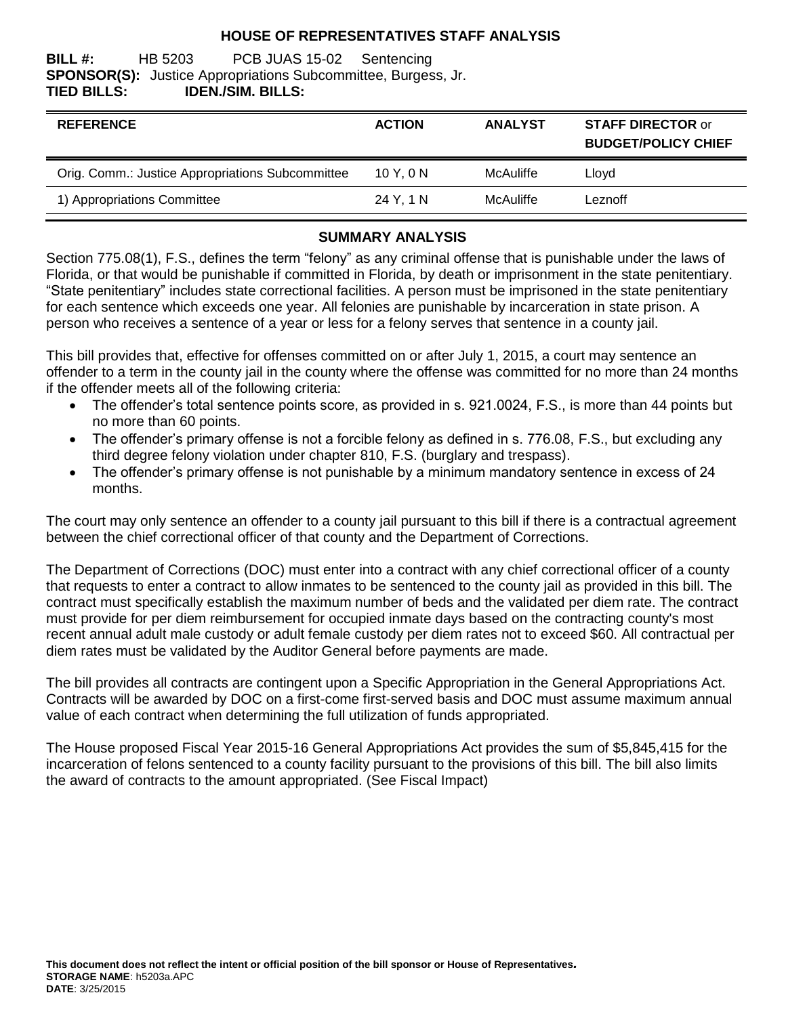### **HOUSE OF REPRESENTATIVES STAFF ANALYSIS**

**BILL #:** HB 5203 PCB JUAS 15-02 Sentencing **SPONSOR(S):** Justice Appropriations Subcommittee, Burgess, Jr. **TIED BILLS: IDEN./SIM. BILLS:**

| <b>REFERENCE</b>                                 | <b>ACTION</b> | <b>ANALYST</b> | <b>STAFF DIRECTOR or</b><br><b>BUDGET/POLICY CHIEF</b> |
|--------------------------------------------------|---------------|----------------|--------------------------------------------------------|
| Orig. Comm.: Justice Appropriations Subcommittee | 10Y.0N        | McAuliffe      | Lloyd                                                  |
| 1) Appropriations Committee                      | 24 Y, 1 N     | McAuliffe      | Leznoff                                                |

#### **SUMMARY ANALYSIS**

Section 775.08(1), F.S., defines the term "felony" as any criminal offense that is punishable under the laws of Florida, or that would be punishable if committed in Florida, by death or imprisonment in the state penitentiary. "State penitentiary" includes state correctional facilities. A person must be imprisoned in the state penitentiary for each sentence which exceeds one year. All felonies are punishable by incarceration in state prison. A person who receives a sentence of a year or less for a felony serves that sentence in a county jail.

This bill provides that, effective for offenses committed on or after July 1, 2015, a court may sentence an offender to a term in the county jail in the county where the offense was committed for no more than 24 months if the offender meets all of the following criteria:

- The offender's total sentence points score, as provided in s. 921.0024, F.S., is more than 44 points but no more than 60 points.
- The offender's primary offense is not a forcible felony as defined in s. 776.08, F.S., but excluding any third degree felony violation under chapter 810, F.S. (burglary and trespass).
- The offender's primary offense is not punishable by a minimum mandatory sentence in excess of 24 months.

The court may only sentence an offender to a county jail pursuant to this bill if there is a contractual agreement between the chief correctional officer of that county and the Department of Corrections.

The Department of Corrections (DOC) must enter into a contract with any chief correctional officer of a county that requests to enter a contract to allow inmates to be sentenced to the county jail as provided in this bill. The contract must specifically establish the maximum number of beds and the validated per diem rate. The contract must provide for per diem reimbursement for occupied inmate days based on the contracting county's most recent annual adult male custody or adult female custody per diem rates not to exceed \$60. All contractual per diem rates must be validated by the Auditor General before payments are made.

The bill provides all contracts are contingent upon a Specific Appropriation in the General Appropriations Act. Contracts will be awarded by DOC on a first-come first-served basis and DOC must assume maximum annual value of each contract when determining the full utilization of funds appropriated.

The House proposed Fiscal Year 2015-16 General Appropriations Act provides the sum of \$5,845,415 for the incarceration of felons sentenced to a county facility pursuant to the provisions of this bill. The bill also limits the award of contracts to the amount appropriated. (See Fiscal Impact)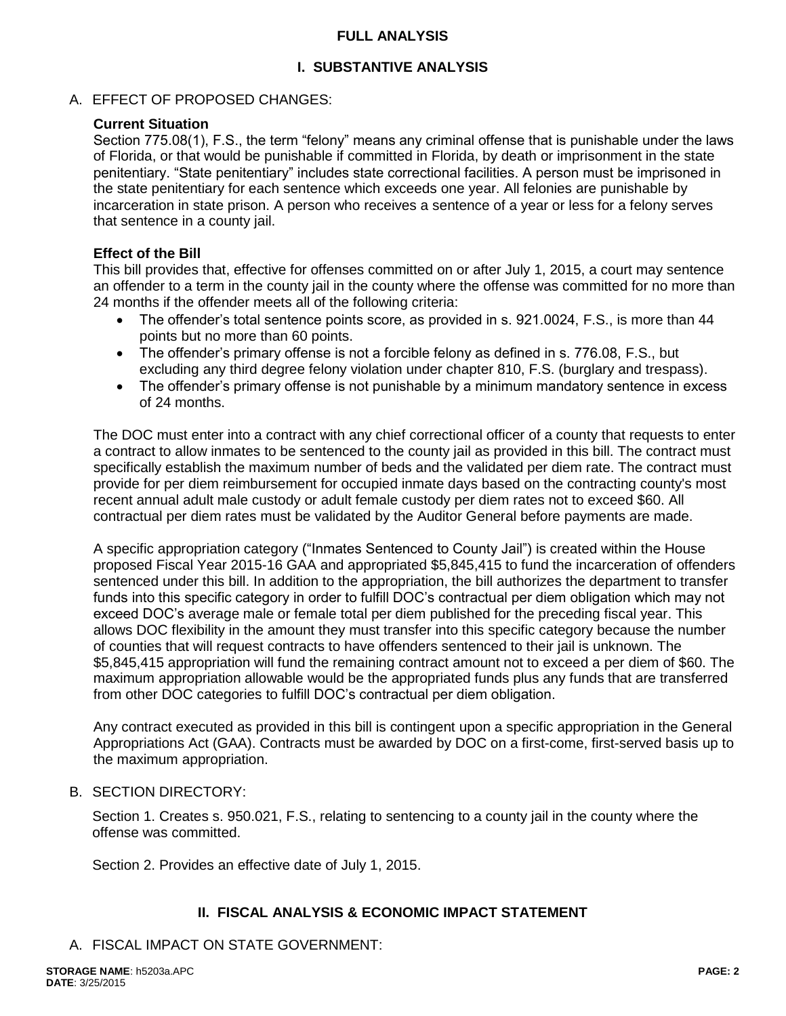## **FULL ANALYSIS**

## **I. SUBSTANTIVE ANALYSIS**

## A. EFFECT OF PROPOSED CHANGES:

#### **Current Situation**

Section 775.08(1), F.S., the term "felony" means any criminal offense that is punishable under the laws of Florida, or that would be punishable if committed in Florida, by death or imprisonment in the state penitentiary. "State penitentiary" includes state correctional facilities. A person must be imprisoned in the state penitentiary for each sentence which exceeds one year. All felonies are punishable by incarceration in state prison. A person who receives a sentence of a year or less for a felony serves that sentence in a county jail.

### **Effect of the Bill**

This bill provides that, effective for offenses committed on or after July 1, 2015, a court may sentence an offender to a term in the county jail in the county where the offense was committed for no more than 24 months if the offender meets all of the following criteria:

- The offender's total sentence points score, as provided in s. 921.0024, F.S., is more than 44 points but no more than 60 points.
- The offender's primary offense is not a forcible felony as defined in s. 776.08, F.S., but excluding any third degree felony violation under chapter 810, F.S. (burglary and trespass).
- The offender's primary offense is not punishable by a minimum mandatory sentence in excess of 24 months.

The DOC must enter into a contract with any chief correctional officer of a county that requests to enter a contract to allow inmates to be sentenced to the county jail as provided in this bill. The contract must specifically establish the maximum number of beds and the validated per diem rate. The contract must provide for per diem reimbursement for occupied inmate days based on the contracting county's most recent annual adult male custody or adult female custody per diem rates not to exceed \$60. All contractual per diem rates must be validated by the Auditor General before payments are made.

A specific appropriation category ("Inmates Sentenced to County Jail") is created within the House proposed Fiscal Year 2015-16 GAA and appropriated \$5,845,415 to fund the incarceration of offenders sentenced under this bill. In addition to the appropriation, the bill authorizes the department to transfer funds into this specific category in order to fulfill DOC's contractual per diem obligation which may not exceed DOC's average male or female total per diem published for the preceding fiscal year. This allows DOC flexibility in the amount they must transfer into this specific category because the number of counties that will request contracts to have offenders sentenced to their jail is unknown. The \$5,845,415 appropriation will fund the remaining contract amount not to exceed a per diem of \$60. The maximum appropriation allowable would be the appropriated funds plus any funds that are transferred from other DOC categories to fulfill DOC's contractual per diem obligation.

Any contract executed as provided in this bill is contingent upon a specific appropriation in the General Appropriations Act (GAA). Contracts must be awarded by DOC on a first-come, first-served basis up to the maximum appropriation.

## B. SECTION DIRECTORY:

Section 1. Creates s. 950.021, F.S., relating to sentencing to a county jail in the county where the offense was committed.

Section 2. Provides an effective date of July 1, 2015.

## **II. FISCAL ANALYSIS & ECONOMIC IMPACT STATEMENT**

A. FISCAL IMPACT ON STATE GOVERNMENT: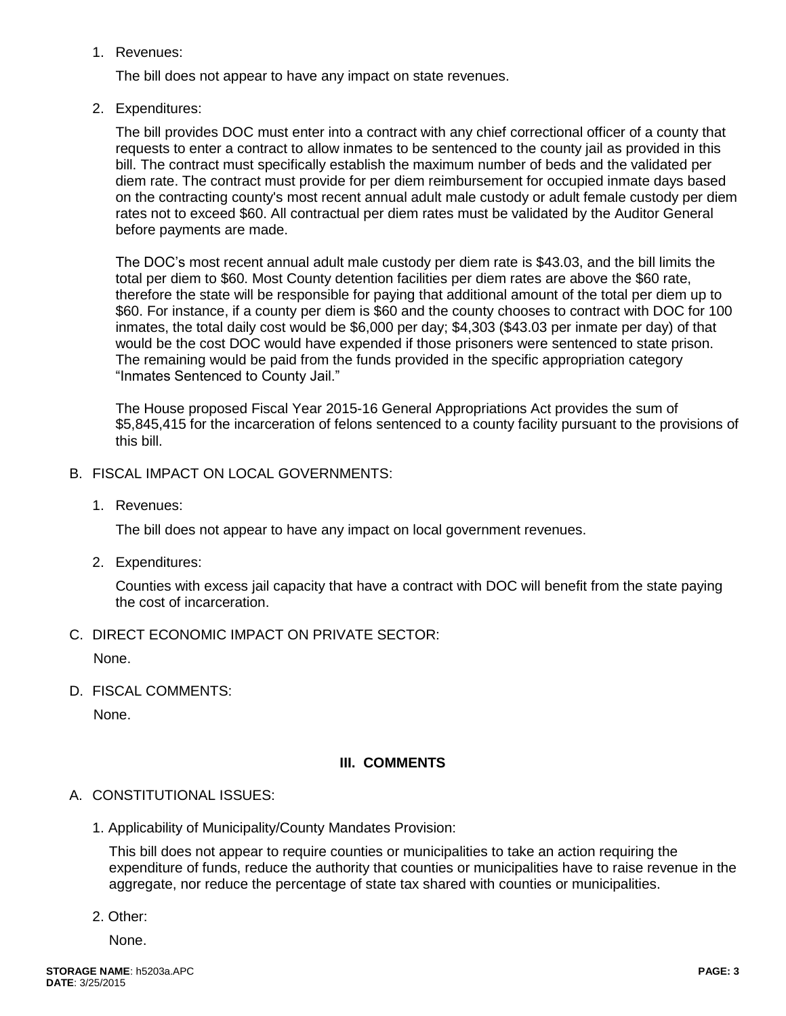1. Revenues:

The bill does not appear to have any impact on state revenues.

2. Expenditures:

The bill provides DOC must enter into a contract with any chief correctional officer of a county that requests to enter a contract to allow inmates to be sentenced to the county jail as provided in this bill. The contract must specifically establish the maximum number of beds and the validated per diem rate. The contract must provide for per diem reimbursement for occupied inmate days based on the contracting county's most recent annual adult male custody or adult female custody per diem rates not to exceed \$60. All contractual per diem rates must be validated by the Auditor General before payments are made.

The DOC's most recent annual adult male custody per diem rate is \$43.03, and the bill limits the total per diem to \$60. Most County detention facilities per diem rates are above the \$60 rate, therefore the state will be responsible for paying that additional amount of the total per diem up to \$60. For instance, if a county per diem is \$60 and the county chooses to contract with DOC for 100 inmates, the total daily cost would be \$6,000 per day; \$4,303 (\$43.03 per inmate per day) of that would be the cost DOC would have expended if those prisoners were sentenced to state prison. The remaining would be paid from the funds provided in the specific appropriation category "Inmates Sentenced to County Jail."

The House proposed Fiscal Year 2015-16 General Appropriations Act provides the sum of \$5,845,415 for the incarceration of felons sentenced to a county facility pursuant to the provisions of this bill.

- B. FISCAL IMPACT ON LOCAL GOVERNMENTS:
	- 1. Revenues:

The bill does not appear to have any impact on local government revenues.

2. Expenditures:

Counties with excess jail capacity that have a contract with DOC will benefit from the state paying the cost of incarceration.

C. DIRECT ECONOMIC IMPACT ON PRIVATE SECTOR:

None.

D. FISCAL COMMENTS:

None.

## **III. COMMENTS**

## A. CONSTITUTIONAL ISSUES:

1. Applicability of Municipality/County Mandates Provision:

This bill does not appear to require counties or municipalities to take an action requiring the expenditure of funds, reduce the authority that counties or municipalities have to raise revenue in the aggregate, nor reduce the percentage of state tax shared with counties or municipalities.

2. Other:

None.